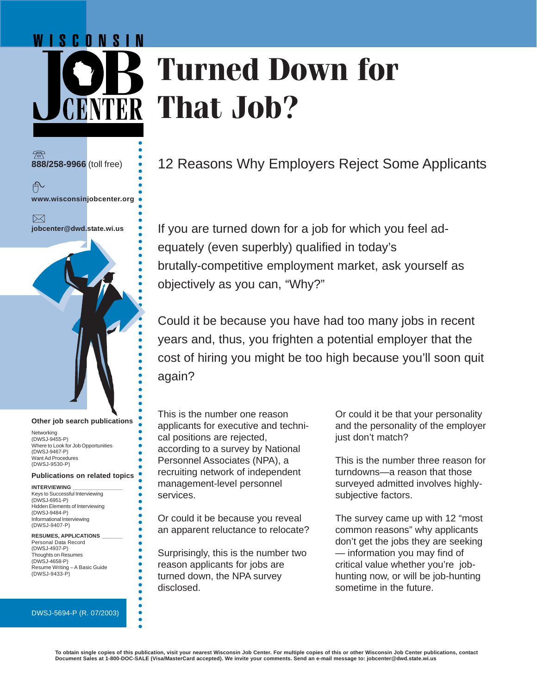# WISCONSIN **Turned Down for YTER That Job?**

○○○○○○○○○○○○○○○○○○○○○○○○○○○○○○○○○○○○○○○○○○○○ **888/258-9966** (toll free) 户 **www.wisconsinjobcenter.org**  $\boxtimes$ **jobcenter@dwd.state.wi.us**

○○○○○○○○○○○○○○○○○○○○○○○○○○

ŏ ŏ ä

#### **Other job search publications**

Networking (DWSJ-9455-P) Where to Look for Job Opportunities (DWSJ-9467-P) Want Ad Procedures (DWSJ-9530-P)

#### **Publications on related topics**

**INTERVIEWING \_\_\_\_\_\_\_\_\_\_\_\_\_\_\_\_\_** Keys to Successful Interviewing (DWSJ-6951-P) Hidden Elements of Interviewing (DWSJ-9484-P) Informational Interviewing (DWSJ-9407-P)

#### **RESUMES, APPLICATIONS \_\_\_\_\_\_\_**

Personal Data Record (DWSJ-4937-P) Thoughts on Resumes (DWSJ-4658-P) Resume Writing – A Basic Guide (DWSJ-9433-P)

#### DWSJ-5694-P (R. 07/2003)

12 Reasons Why Employers Reject Some Applicants

If you are turned down for a job for which you feel adequately (even superbly) qualified in today's brutally-competitive employment market, ask yourself as objectively as you can, "Why?"

Could it be because you have had too many jobs in recent years and, thus, you frighten a potential employer that the cost of hiring you might be too high because you'll soon quit again?

This is the number one reason applicants for executive and technical positions are rejected, according to a survey by National Personnel Associates (NPA), a recruiting network of independent management-level personnel services.

Or could it be because you reveal an apparent reluctance to relocate?

Surprisingly, this is the number two reason applicants for jobs are turned down, the NPA survey disclosed.

Or could it be that your personality and the personality of the employer just don't match?

This is the number three reason for turndowns—a reason that those surveyed admitted involves highlysubjective factors.

The survey came up with 12 "most common reasons" why applicants don't get the jobs they are seeking — information you may find of critical value whether you're jobhunting now, or will be job-hunting sometime in the future.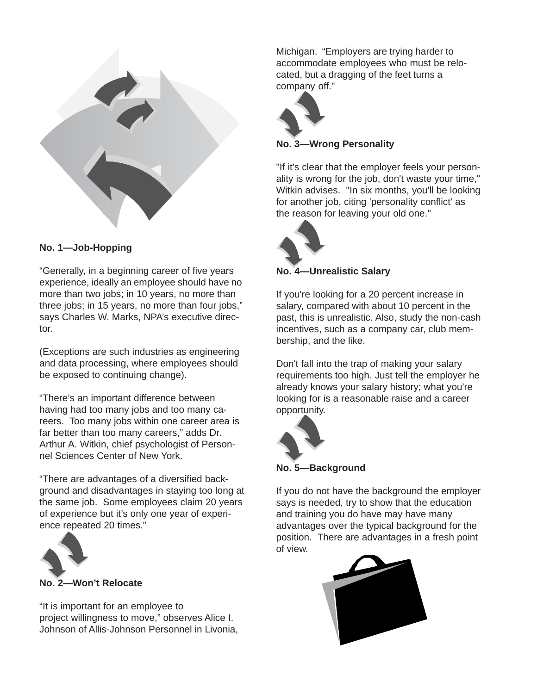

# **No. 1—Job-Hopping**

"Generally, in a beginning career of five years experience, ideally an employee should have no more than two jobs; in 10 years, no more than three jobs; in 15 years, no more than four jobs," says Charles W. Marks, NPA's executive director.

(Exceptions are such industries as engineering and data processing, where employees should be exposed to continuing change).

"There's an important difference between having had too many jobs and too many careers. Too many jobs within one career area is far better than too many careers," adds Dr. Arthur A. Witkin, chief psychologist of Personnel Sciences Center of New York.

"There are advantages of a diversified background and disadvantages in staying too long at the same job. Some employees claim 20 years of experience but it's only one year of experience repeated 20 times."



"It is important for an employee to project willingness to move," observes Alice I. Johnson of Allis-Johnson Personnel in Livonia,

Michigan. "Employers are trying harder to accommodate employees who must be relocated, but a dragging of the feet turns a company off."



**No. 3—Wrong Personality**

"If it's clear that the employer feels your personality is wrong for the job, don't waste your time," Witkin advises. "In six months, you'll be looking for another job, citing 'personality conflict' as the reason for leaving your old one."



#### **No. 4—Unrealistic Salary**

If you're looking for a 20 percent increase in salary, compared with about 10 percent in the past, this is unrealistic. Also, study the non-cash incentives, such as a company car, club membership, and the like.

Don't fall into the trap of making your salary requirements too high. Just tell the employer he already knows your salary history; what you're looking for is a reasonable raise and a career opportunity.



**No. 5—Background**

If you do not have the background the employer says is needed, try to show that the education and training you do have may have many advantages over the typical background for the position. There are advantages in a fresh point of view.

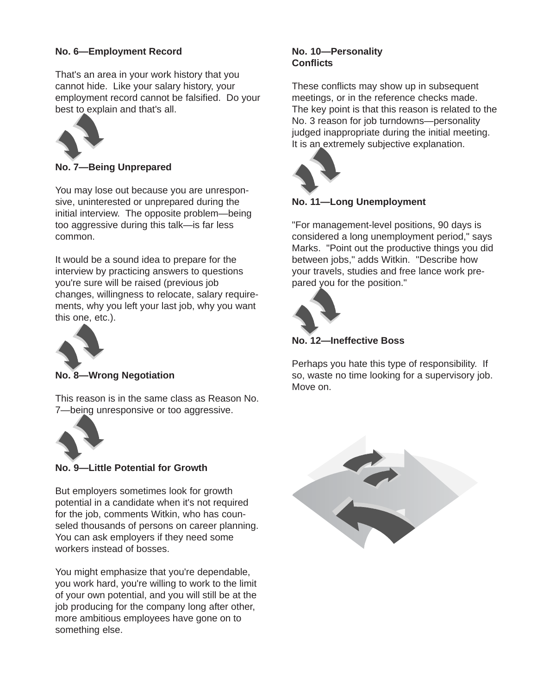# **No. 6—Employment Record**

That's an area in your work history that you cannot hide. Like your salary history, your employment record cannot be falsified. Do your best to explain and that's all.



**No. 7—Being Unprepared**

You may lose out because you are unresponsive, uninterested or unprepared during the initial interview. The opposite problem—being too aggressive during this talk—is far less common.

It would be a sound idea to prepare for the interview by practicing answers to questions you're sure will be raised (previous job changes, willingness to relocate, salary requirements, why you left your last job, why you want this one, etc.).



# **No. 8—Wrong Negotiation**

This reason is in the same class as Reason No. 7—being unresponsive or too aggressive.



**No. 9—Little Potential for Growth**

But employers sometimes look for growth potential in a candidate when it's not required for the job, comments Witkin, who has counseled thousands of persons on career planning. You can ask employers if they need some workers instead of bosses.

You might emphasize that you're dependable, you work hard, you're willing to work to the limit of your own potential, and you will still be at the job producing for the company long after other, more ambitious employees have gone on to something else.

## **No. 10—Personality Conflicts**

These conflicts may show up in subsequent meetings, or in the reference checks made. The key point is that this reason is related to the No. 3 reason for job turndowns—personality judged inappropriate during the initial meeting. It is an extremely subjective explanation.



# **No. 11—Long Unemployment**

"For management-level positions, 90 days is considered a long unemployment period," says Marks. "Point out the productive things you did between jobs," adds Witkin. "Describe how your travels, studies and free lance work prepared you for the position."



**No. 12—Ineffective Boss**

Perhaps you hate this type of responsibility. If so, waste no time looking for a supervisory job. Move on.